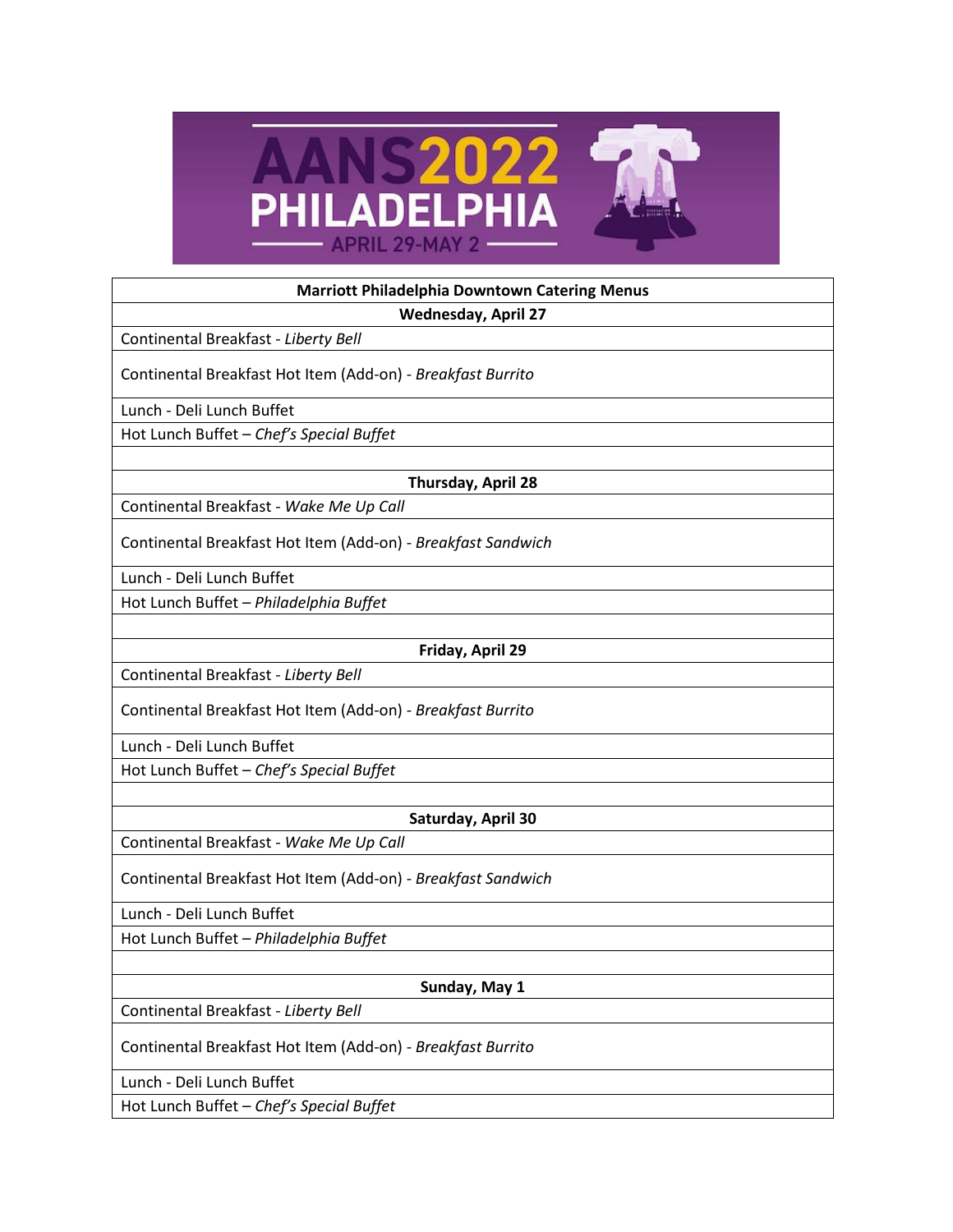

| <b>Marriott Philadelphia Downtown Catering Menus</b>         |
|--------------------------------------------------------------|
| <b>Wednesday, April 27</b>                                   |
| Continental Breakfast - Liberty Bell                         |
| Continental Breakfast Hot Item (Add-on) - Breakfast Burrito  |
| Lunch - Deli Lunch Buffet                                    |
| Hot Lunch Buffet - Chef's Special Buffet                     |
|                                                              |
| Thursday, April 28                                           |
| Continental Breakfast - Wake Me Up Call                      |
| Continental Breakfast Hot Item (Add-on) - Breakfast Sandwich |
| Lunch - Deli Lunch Buffet                                    |
| Hot Lunch Buffet - Philadelphia Buffet                       |
|                                                              |
| Friday, April 29                                             |
| Continental Breakfast - Liberty Bell                         |
| Continental Breakfast Hot Item (Add-on) - Breakfast Burrito  |
| Lunch - Deli Lunch Buffet                                    |
| Hot Lunch Buffet - Chef's Special Buffet                     |
|                                                              |
| Saturday, April 30                                           |
| Continental Breakfast - Wake Me Up Call                      |
| Continental Breakfast Hot Item (Add-on) - Breakfast Sandwich |
| Lunch - Deli Lunch Buffet                                    |
| Hot Lunch Buffet - Philadelphia Buffet                       |
|                                                              |
| Sunday, May 1                                                |
| Continental Breakfast - Liberty Bell                         |
| Continental Breakfast Hot Item (Add-on) - Breakfast Burrito  |
| Lunch - Deli Lunch Buffet                                    |
| Hot Lunch Buffet - Chef's Special Buffet                     |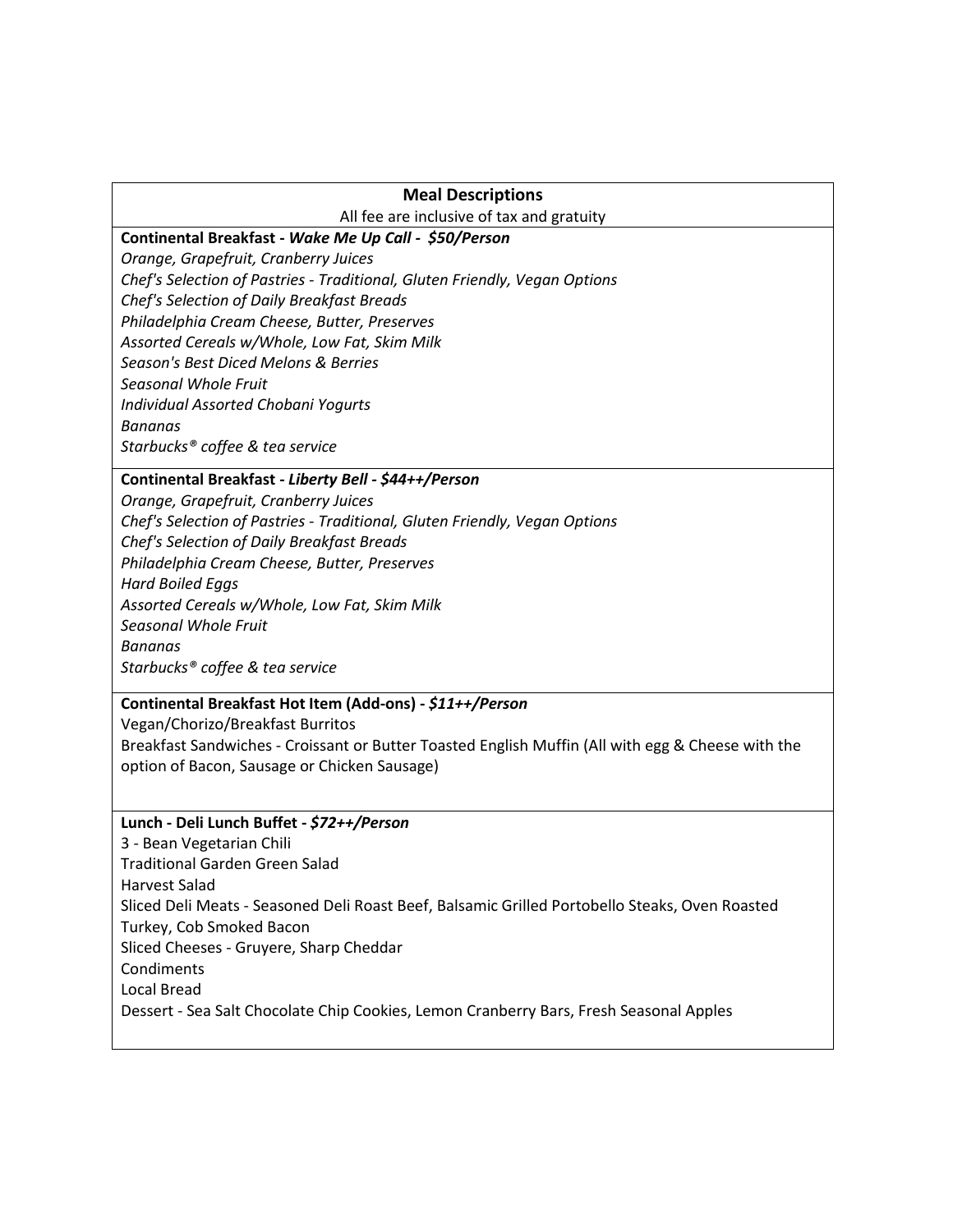# **Meal Descriptions**

All fee are inclusive of tax and gratuity

## **Continental Breakfast -** *Wake Me Up Call - \$50/Person*

*Orange, Grapefruit, Cranberry Juices Chef's Selection of Pastries - Traditional, Gluten Friendly, Vegan Options Chef's Selection of Daily Breakfast Breads Philadelphia Cream Cheese, Butter, Preserves Assorted Cereals w/Whole, Low Fat, Skim Milk Season's Best Diced Melons & Berries Seasonal Whole Fruit Individual Assorted Chobani Yogurts Bananas Starbucks® coffee & tea service*

# **Continental Breakfast -** *Liberty Bell - \$44++/Person*

*Orange, Grapefruit, Cranberry Juices Chef's Selection of Pastries - Traditional, Gluten Friendly, Vegan Options Chef's Selection of Daily Breakfast Breads Philadelphia Cream Cheese, Butter, Preserves Hard Boiled Eggs Assorted Cereals w/Whole, Low Fat, Skim Milk Seasonal Whole Fruit Bananas Starbucks® coffee & tea service*

# **Continental Breakfast Hot Item (Add-ons) -** *\$11++/Person*

Vegan/Chorizo/Breakfast Burritos Breakfast Sandwiches - Croissant or Butter Toasted English Muffin (All with egg & Cheese with the option of Bacon, Sausage or Chicken Sausage)

#### **Lunch - Deli Lunch Buffet -** *\$72++/Person*

3 - Bean Vegetarian Chili Traditional Garden Green Salad Harvest Salad Sliced Deli Meats - Seasoned Deli Roast Beef, Balsamic Grilled Portobello Steaks, Oven Roasted Turkey, Cob Smoked Bacon Sliced Cheeses - Gruyere, Sharp Cheddar **Condiments** Local Bread Dessert - Sea Salt Chocolate Chip Cookies, Lemon Cranberry Bars, Fresh Seasonal Apples